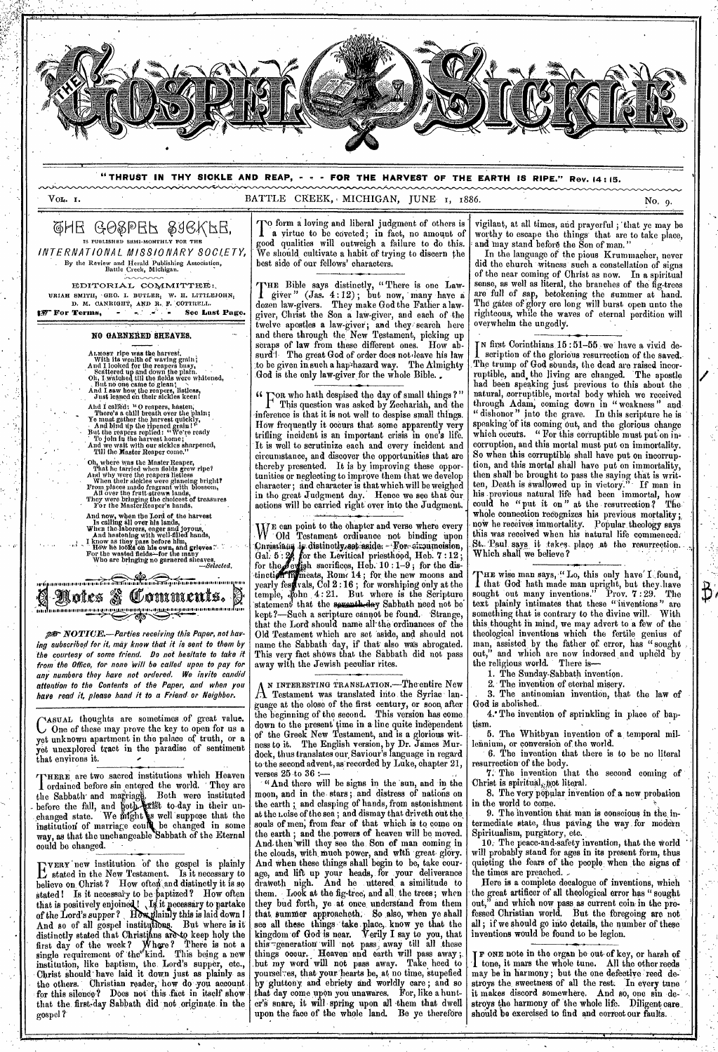

**"THRUST IN THY SICKLE AND REAP, - - - FOR THE HARVEST OF THE EARTH IS RIPE." Rev. 14 : 15.** 

Vox,. I.

BATTLE CREEK, MICHIGAN, JUNE 1, 1886.

 $\overline{B}$ 

@HE GO&PEF &aGKFE' IS PUBLISHED SRMI-MONTHLY FOR THE INTERNATIONAL MISSIONARY SOCIETY, . By the Review and Herald Publishing Association, Battle Creek, Michigan.

EDITORIAL, COMMITTEE: URIAH SMITH, 'GEO. I. BUTLER<sub>I</sub> W. H. LITTLEJOHN<sub>I</sub><br>D. M. CANRIGHT, AND R., F. COTTRELL.<br>**127 For Terms, See Last Page.** 

> **NO OANNENEN 8REAVE8.**  ...,--

ALMoer ripe was the harvest,<br>With its wealth of waving grain;<br>And I looked for the reapers busy,<br>Scattered up and down the plain.<br>Oh, I watched till the fields were whitened,<br>And I saw how, the reapers, listless,<br>And I saw

And I called: "O reapers, hasten,<br>There's a chill breath over the plain;<br>To must gather the harvest quickly,<br>To must gather the harvest quickly,<br>But the reapers replied: "We're ready<br>The the reapers replied: "We're ready<br>A

Oh, where was the Master Reaper,<br>That he tarried when fields grew ripe?<br>And why were the reapers listless<br>When their sieldse were glaneing bright?<br>From places made fragrant with blossom,<br>All over the fruit-strewn lands,<br>Th

And now, when the Lord of the harvest<br>
Is calling all over his lands,<br>
When the laborers, eager and joyous,<br>
And hastening with well-filled hands,<br>  $\lambda$  I know as they pass before him,<br>
It is used to the wasted fields—for

11. MI 11. MI 11. MI 11. MI 11. MI 11. MI 11. MI 11. MI 11. MI 11. MI 11. MI 11. MI 11. MI 11. MI 11. MI 11. M Notes & Comments. **111111.1.111111 ..... 11111t.11 .1151111121.111i Ildt.ift i.i.1.1 1.1.1111.10111111.111.1.1.1 111.1** 

**Pr.** NOTICE.—Parties receiving this Paper, not having subscribed for it, may know that it is sent to them by the courtesy of some friend. Do not hesitate to take it from the Office, for none Will be called upon to pay for any numbers they have not ordered. We invite candid attention to the Contents of the Paper, and when you **hate** read if, please hand it to a Friend- or Neighbor.

*AstrAL* thoughts are sometimes of great value. C One of these may prove the key to open for us a yet unknown apartment in the palace of truth, or a yet unexplored tract in the paradise of sentiment yet uncorported.

'THERE are two sacred institutions which Heaven I ordained before sin entered the world. They are the Sabbath and marriage. Both were instituted - before the fall, and hoth. also to-day in their unchanged state. We infinit **a** well suppose that the institution of marriage could be changed in some way, as that the unchangeable Sabbath of the Eternal could be changed. -

 $\sum_{\text{state}}$  is institution of the gospel is plainly<br> $\sum_{\text{state}}$  in the New Tostament. Is it necessary to stated in the New Testament. Is it necessary to believe on Christ ? How often and distinctly it is so stated! Is it necessary to be paptized? How often that is positively enjoine 1 I it **pecessary** to partake of the Lord's supper? How plainly this is laid down I And so of all gospel institutions. But where is it distinctly stated that Christians are to keep holy the first day of the week? Where? There is not a single requirement of the kind. This being a new institution, like baptism, the. Lord's supper, etc., Christ should have laid it down just as plainly as the others. Christian reader, how do you account for this silence? Does not this fact in itself show that the. first,day Sabbath did not originate in the gospel ?

To form a loving and liberal judgment of others is<br>
1 a virtue to be coveted; in fact, no amount of a virtue to be coveted; in fact, no amount of good qualities will outweigh a failure to do this. We should, cultivate a habit of trying to discern the best side of our fellows' characters.

THE Bible says distinctly, "There is one Law-<br>giver" (Jas. 4:12); but now, many have a giver " (Jas. 4 :12) ; but now, many have a dozen law-givers. They make God the Father a lawgiver, Christ the Son a law-giver, and each of the twelve apostles a law-giver; and they search here and there through the New Testament, picking up scraps of law from these different ones. How absurd'<sup>1</sup> The great God of order does not leave his law to be given in such a hap2hazard way. The Almighty God is the only law-giver for the whole Bible.

*F* OR who hath despised the day of small things ?" This question was asked by Zechariah, and the inference is that it is not well to despise small things. How frequently it occurs that some apparently very trifling incident is an important crisis in one's life. It is well to scrutinize each and every incident and circumstance, and discover the opportunities that are thereby presented. It is by improving these opportunities or neglecting to improve them that we develop character ; and character is that which will be weighed in tho great Judgment day.' Hence we see that our actions will be carried right over into the Judgment.

WE can point to the chapter and verse where every VOld Testament ordinance not binding upon Curistians is distinctly set aside. For eircumcision, Gal.  $5:2$ , for the Levitical priesthood, Heb.  $7:12$  ; for the  $\ell$  evisah sacrifices, Heb.  $10:1-9$ ; for the distinction filmeats, Rom. 14; for the new moons and yearly fest vals, Col  $2:16$  ; for worshiping only at the  $t$ emple,  $J_0$ chn  $4:21$ . But where is the Scripture statement that the sexenth-day Sabbath need not be kept?—Such a scripture cannot be found. Strange, that the Lord' should name all- the ordinances of the Old Testament which are set aside, and should not name the Sabbath day, if that' also was abrogated. This very fact shows that the Sabbath did not pass away with the Jewish peculiar rites.

**A** Testament was translated into the Syriac- lan-N INTERESTING TRANSLATION.—Theentire New guage at the close of the first century, or soon, after the beginning of the second. This version has come down to the present time in a line quite independent of the Greek New Testament, and is a glorious witness to it. The English version, by Dr. James Murdock, thus translates our, Saviour's language in regard to-the second advent, as recorded by Luke, chapter 21, verses  $25$  to  $36$  :-

"And there will be signs in the sun, and in the moon, and in the stars ; and distress of nations on the earth ; and clasping of hands, from astonishment at the noise of the sea; and dismay that driveth out the souls of men; from fear of that which is to come on the earth; and the powers of heaven will be moved. And-then'will they see the. Son of man coming in the clouds, with much power, and with great glory. And when these things shall begin to be, take cour age, and lift up your heads, for .your deliverance draweth nigh. And he uttered a similitude to them. . Look at the fig-tree, and all, the trees; when they bud forth, ye at once understand from them that. Sumner approacheth. So also, when ye shall see all these things take place, know ye that the kingdom of God-is near. Verily I say to you, that this-generation will not pass, away till all these things occur. Heaven and earth will pass away; .but my word will not pass away. Take heed to yoursel-es, that your hearts be, at no time, stupefied by gluttony and ebriety and worldly care ; and so that day come upon you unawares. For, like a hunter's snare, it will spring upon all them that dwell upon the face of the whole land. Be ye therefore

vigilant, at all times, arid prayerful ; 'that ye may be worthy to escape the things' that are to take place, and may stand before the Son of man."

In the language of the pious Krummacher, never did the church witness such a constellation of signs of the near coming of Christ as now. In a spiritual sense, as well as literal, the branches of the fig-trees are full of sap, betokening the summer at hand. Tho gates of glory ere long will burst open unto the righteous, while the waves of eternal perdition will overwhelm the ungodly.

**T** N first Corinthians 15 :51-55 , we' have a vivid description of the glorious resurrection of the saved. The trump of God sounds, the dead are raised incorruptible, and, the living are changed. 'The apostle had been speaking just previous to this about the natural, torruptible, mortal body which we received through Adam, coming down in " weakness " and " dishonor" into the grave. In this scripture he is speaking 'of its coming out, and the glorious change which occuts. " For this corruptible must put on incorruption, and this mortal must put on immortality. So when this corruptible shall have put on incorruption, and this mortal shall have put on immortality, then shall'be brought to pass the saying that is written, Death is swallowed up in victory." If man in his -previous natural 'life had been immortal, how could he "put it on" at the resurrection? Thewhole connection recognizes his previous mortality; now he receives immortality. Popular. theology says this was received when his natural life commenced;. St. Paul says it takes place at the resurrection. Which shall we believe ?

HE wise man says, "Lo, this only have' I found, sought out many inventions." Prov. 7 : 29. The I that God-hath made man upright, but they-have text plainly intimates that these "inventions " are something that is contrary to the divine will. With this.thought in mind, we may advert to a few of the theological inventions which the fertile genius of man, assisted, by the father of error, has " sought out," and which are now indorsed and upheld by the religious world. There is-

1. The Sunday-Sabbath invention.<br>2. The invention of eternal misery.

The invention of eternal misery

. 3. The antinomian invention, that the law of God is abolished.

4.• The invention of sprinkling in place of baptism.

5. The Whitbyan invention of a temporal millennium, or conversion of the world.

6. The invention that there is to be no literal resurrection of the body.

The invention that the second coming of Christ is spiritual, not literal.

8. The very popular invention of *a* new probation in the world to come.

9. The invention that man is conscious in the intermediate state, thus paving the way for modern Spiritualism, purgatory, etc.

10. The peace-and-safety invention, that the world will probably stand for ages in its present form, thus quieting the fears of the people when the signs of the times are preached. -

Here is a complete decalogue of inventions, which the great artificer of all theological error has " sought out," and which now pass as current coin in the professed Christian world. But the foregoing are not all ; if we should go into details, the number of theee inventions would be found to be legion.

F ONE note in the organ be out-of key, or harsh of 1 tone, it mars the whole tune. All the other reeds may be in harmony ; but the one defective reed destroys the, sweetness of all the rest. In every tune ' it makes discord somewhere. And so, one sin destroys the harmony of the whole life. Diligent care. should be exercised to find and correct our faults.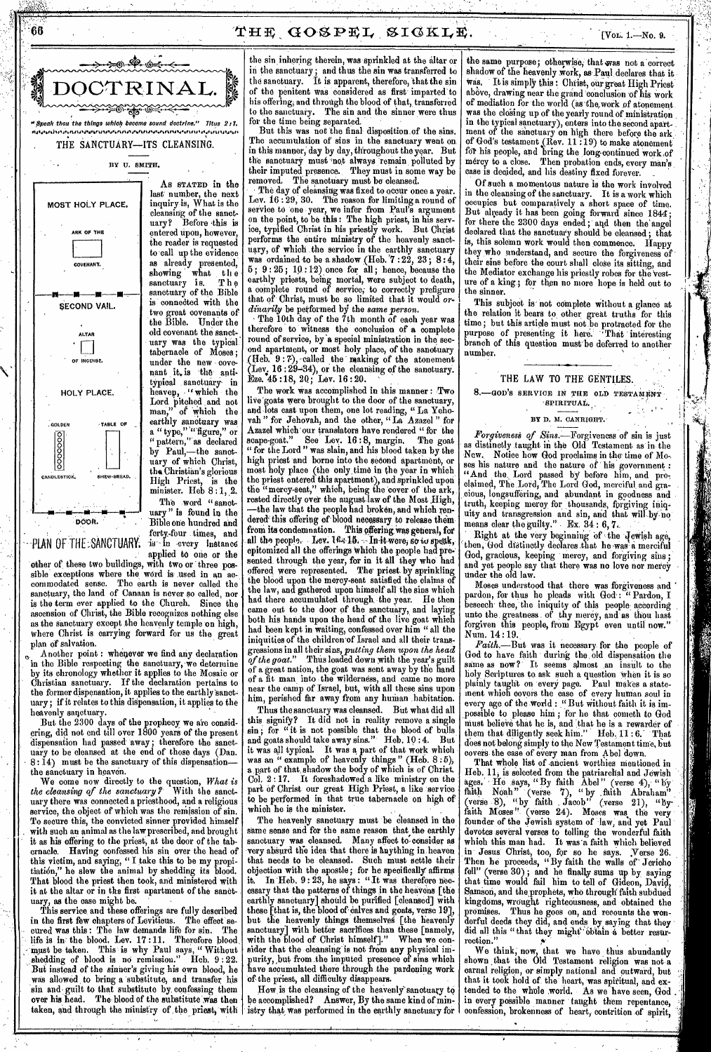



MOST HOLY PLACE. ARK OP THE COVENANT. SECOND VAIL. ALTAR • I I OF INCENSE. HOLY PLACE. :GOLDEN  $\frac{8}{9}$  $\frac{8}{9}$ CANDLESTICK. TABLE OF \_ THEW-BREAD. **MI pi DOOft.** 

• -PLAN Of THE:SANCTUARY:

The word "sanctuary " is found in the Bible one hundred and forty.-four times, and is in every instance applied to one or the

last number, the next inquiry is, What is the cleansing of the sanctuary? Before this is entered upon, however, the reader is requested to call up the evidence as already presented, showing what the showing what the sanctuary of the Bible is connected with the two great covenants of the Bible. Under the old covenant the sanctuary was the typical tabernacle of Moses ; under the new covenant it. is 'the antitypical sanctuary in<br>heaven, "which the heaven, "which the Lord pitched and not man," of which the earthly sanctuary was a " type," "figure," or " pattern," as declared by Paul,—the sanctuary of which Christ, the Christian's glorious<br>High Priest, is the High Priest, minister. Heb  $8:1, 2$ .

other of these two buildings, with two or three possible exceptions where the word is used in an accommodated sense. Tho earth is never called the sanctuary, the land of Canaan is never so called, nor is the term ever applied to the Church. Since the ascension of Christ, the Bible recognizes nothing else as the sanctuary except the heavenly temple on high, where Christ is carrying forward for us the great plan of salvation.

Another point : whenever we find any declaration in the Bible respecting the sanctuary, we determine by its chronology whether it applies to the Mosaic or Christian sanctuary. If the declaration pertains to the former dispensation, it applies to the earthly'sanctuary; if it relates to this dispensation, it applies to the heavenly sanctuary.

But the 2300 days of the prophecy we are considering, did not end till over 1800 years of the present dispensation had passed away; therefore the sanctuary to be cleansed at the end of those days (Dan.  $8:14$ ) must be the sanctuary of this dispensation the sanctuary in heaven.

We come now directly to the question, *What is the cleansing of the sanctuary?'* With the sanctuary there was connected a priesthood, and a religious service, the object of which was the remission of sin. To secure this, the convicted sinner provided himself with such an animal as the law prescribed, and brought it as his offering to the priest, at the door of the tabernacle. Having confessed his sin over the head of this victim, and saying, " I take this to be my propitiati6n," he slew the animal by shedding its blood. That blood the priest then took, and ministered with it at the altar or in the first apartment of the sanctuary, as the case might be.

This service and these offerings are fully described in the first few chapters of Leviticus. The effect secured was this: The law demands life for sin. life is in the blood. Lev. 17 :11. Therefore blood, must be taken. This is why Paul says, " Without shedding of blood is no remission." Heb. 9 : 22. But *instead* of the *sinner's* giving his own blood, he was allowed to bring a substitute, and transfer his sin and guilt to that substitute by confessing them over his head. The blood of the substitute was then taken, and through the ministry of the priest, with

the sin inhering therein, was sprinkled at the altar or in the sanctuary ; and thus the sin was transferred to the sanctuary. It is apparent, therefore, that the sin of the penitent was considered as first imparted to his offering, and through the blood of that, transferred to the sanctuary. The sin and the sinner were thus for the time being separated.

But this was not the final disposition of the sins, The accumulation of sins in the sanctuary went on in this manner, day by day, throughout the year. But the sanctuary must 'not always remain, polluted by their imputed presence. They must in some way be removed. The sanctuary must be cleansed.

The day of cleansing was fixed to occur once a year. Lev. 16 : 29, 30. The reason for limiting a round of service to one year, we infer from Paul's argument on the point, to be this : The high priest, in his service, typified Christ in his priestly work. But Christ performs the entire ministry of the heavenly sanctuary, of which the service in the earthly sanctuary was ordained to be a shadow (Heb.  $7:22$ ,  $23$ ,  $8:4$ , 5 ; 9 : 25 ; 19 :12) once for all ; hence, because the earthly priests, being mortal, were subject to death, a complete round of service; to correctly prefigure that of Christ, must be so limited that it would *ordinarily* be performed by the *same person.* 

The 10th day of the 7th month of each year *was*  therefore to witness the conclusion of a complete round of service, by 'a special ministration in the second apartment, or most holy place, of the sanctuary (Heb. 9 : 7), called the • making of the atonement (Lev. 16 : 29-34), or the cleansing of the sanctuary. Eze.  $45:18, 20;$  Lev.  $16:20$ .

The work was accomplished in this manner : Two live'goats were brought to the door of the sanctuary, and lots cast upon them, one lot reading, " La Yehovah " for Jehovah, and the other, "La Azazel" Azazel which our translators have rendered "for the scape-goat." See Lev. 16:8, margin. The goat See Lev. 16:8, margin. for the Lord " was slain, and his blood taken by the high priest and borne into the second apartment, or most holy place (the only time in the year in which the priest entered this apartment), and sprinkled upon the "mercy-seat," which, being the cover of the ark, rested directly over the august law of the Most High, —the law that the people had broken, and which rendered this offering of blood necessary to release them<br>from its condemnation. This offering was general, for This offering was general, for all the people. Lev.  $16:15$ . --In-it were, Se in speak, epitomized all the offerings Which the people had presented through the year, for in it all they who had offered were represented. The' priest by sprinkling the blood upon the mercy-seat satisfied the claims of the law, and gathered upon himself all the sins which had there accumulated through the year. He then came out to the door of the sanctuary, and laying both his hands upon the head of the live goat which had been kept in waiting, confessed over him " all the iniquities of the children of Israel and all their transgressions in all their sins, *putting them upon the head of the goat."* Thus loaded down with the year's guilt of a great nation, the goat was sent away by the hand of a fit man into the wilderness, and came no more near the camp of Israel, but, with all these sins upon him, perished far away from any human habitation.

Thus the sanctuary was cleansed. But what did all this signify? It did not in reality remove a single sin; for "it is not possible that the blood of bulls and goats should take away sins." Heb. 10 : 4. But it was all typical. It was a part of that work which *was an "* example of heavenly things " (Heb. 8 :5), apart of that, shadow the body of which is of Christ. It foreshadowed a like ministry on the part of Christ our great High Priest, a like service to be performed in that true tabernacle on high of which he is the minister.

The heavenly sanctuary must be cleansed in the same sense and for the same reason that the earthly sanctuary was cleansed. Many affect to consider as very absurd the idea that there is Anything in heaven that needs to be cleansed. Such must settle their objection with the apostle; for he specifically affirms it, In Heb. 9 : 23, he says : "It was therefore necessary that the patterns of things in the heavens [the earthly sanctuary] should be purified [cleansed] with these [that is, the blood of calves and goats, verse  $19$ ], but the heavenly things themselves [the heavenly sanctuary] with better sacrifices than these [namely, with the blood of Christ himself]." When we consider that the cleansing' is not from any physical impurity, ,but from the imputed presence of sins which have accumulated there through the pardoning work of the priest, all difficulty disappears.

How, is the cleansing of the heavenly'sanctuary to be accomplished? Answer, By the same kind of ministry that was performed in the earthly sanctuary for

the same purpose; otherwise, that was not a correct shadow of the heavenly work, as Paul declares that it<br>was. It is simply this: Christ, our great High Price It is simply this : Christ, our great High Priest above, drawing near the grand 'conclusion of his work of' mediation for the world (as-the,work of atonement was the closing up of the yearly round of ministration in the typical sanctuary), enters into the second apartment of the sanctuary on high there before the ark. of God's testament (Rev.  $11:19$ ) to make atonement for his people, and bring the long-continued work of mercy to a close. Then probation ends, every man's ease is decided, and his destiny fixed forever.

Of such a momentous nature is the work involved in the cleansing of the sanctuary. It is a work which occupies but comparatively a short space of But already it has been going forward since 1844; for there the 2300 days ended; and then the angel declared that the sanctuary should be cleansed ; that is, this solemn work would then commence. Happy they who understand, and secure the forgiveness of their sins before the court shall close its sitting, and the Mediator exchange his priestly robes for the Vesture of a king.; for then no more hope is held out to the sinner.

This subject is not complete without a glance at the relation it bears to other great truths for this time; but this artiele must not.be protracted for the purpose of presenting it here. That interesting branch of this question must be deferred to another number.

### THE LAW TO THE GENTILES. 8. GOD'S SERVICE IN THE OLD TESTAMENT SPIRITUAL.

### **BY D.** M. CANRIGHT.

Forgiveness of Sins.—Forgiveness of sin is just as distinctly taught in the Old Testament as in the New. Notice how God proclaims in the time of Moses his nature and the nature of " his government : "And the, Lord passed by before him, and pro-: claimed, The. Lord, The Lord God, merciful and gracious, longsuffering, and abundant in goodness and truth, keeping mercy for thousands, forgiving uity and transgression and sin, and that will-by, he means clear the guilty." Ex.  $34:6, 7,$ 

Right at the very beginning of the  $J$ ewish age, 'then, God distinctly declares that he was a merciful God, gracious, keeping mercy, and forgiving sins ; and yet people say that there was no love nor mercy • • Under the old law.

Moses understood that there was forgiveness and • pardon, for thus he pleads with God.: "Pardon, I beseech- thee, the iniquity of this people: aceording unto the greatness. of thy mercy, and as thou hast forgiven this people, from Egypt even until now." Num. 14 :19..

*Faith.—But* was it necessary for the people of God to have faith during the old dispensation the same as now?' It seems almost an insult to the holy Scriptures to. ask such a question when it is so plainly taught on every page. Paul makes a statement which covers the case of every human soul in every age of the world : "But without faith it is impossible to please him ; for be that cometh to God must believe that he is, and that he is a rewarder of them that diligently seek him." Heb, 11:6. That does not belong simply to the New Testament time, but covers the ease of every man from Abel down.

That whole list of .ancient worthies mentioned in Heb. 11, is selected from the patriarchal and Jewish ages. He says, "By faith  $\Lambda$ bel" (verse 4), "by faith Noah" (verse 7), " by \_faith Abraham" (verse 8), "by faith , Jacob" (verse 21), "byfaith Moses" (verse 24). Moses was the very founder of the Jewish system of law, and yet Paul devotes several verses to telling the wonderful faith which this man had. It was'a faith which believed in Jesus: Christ, too, for so he Says. Verse 26. Then he proceeds, "By faith the walls of Jericho fell" (verse 30) ; and he finally sums up by saying that time would fail him to tell of Gideon, David, Samson, and the prophets, who through faith subdued kingdoms, wrought righteousness, and obtained the promises. Thus he goes on, and recounts the wonderful deeds they did, and ends by saying that they did all this "that they might 'obtain a better resurrection.

We think; now, that we have, thus abundantly shown that the Old Testament religion was not-a carnal religion, or simply national and outward, but that it took hold of the heart, was spiritual, and extended to the whole world. As we have seen, God in every possible manner taught them repentance, confession, brokenness of heart, contrition of spirit,

66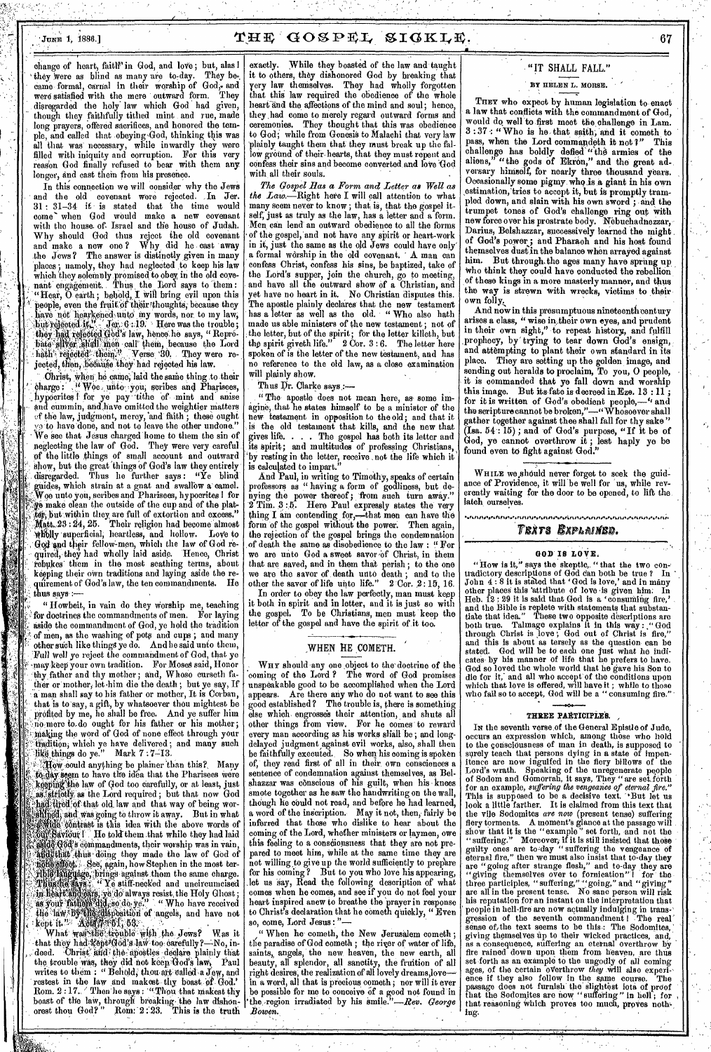# JUNE 1, 1886.] GC1 gPI, SIGKI,X. 67

change of heart, faith' in God, and love; but, alas I they were as blind as many are to-day. They became formal, carnal in their worship of God, and were satisfied with the mere outward form. They disregarded the holy law which God had given, though they faithfully tithed mint and rue, made long prayers, offered sacrifices, and honored the temple, and called that .obeying 'God, thinking this was all that was' necessary, while inwardly they were filled with iniquity and corruption. For this very reason God finally refused to bear with them any longer, and cast them from his presence.

In this connection we will consider why the Jews and the old covenant were rejected. In Jer. 31 31-34 if is stated that the time would come' when God would make a new covenant with the house of Israel and the house of Judah. Why should God thus reject the old covenant and make a new one ? Why, did he cast 'away the Jews? The answer is distinctly given in many places; namely, they had neglected to keep his law which they solemnly promised to obey, in the old covenant engagement. Thus the Lord says to them: "Hear, O earth; behold, I will bring evil upon this people, even the fruit of their thoughts, because they ave not hearkened unto my words, nor to my law,  $6:19.$  Here was the trouble; lianea he says, " Reprothem, because the Lord rejected them." Verse 90. They were re- $\mathbf{j}$ ected, then, because they had rejected his law.

when he came, laid the same thing to their charge :  $W$  wee unto you, scribes and Pharisees, hypocrites I for ye pay tithe of mint and anise cummin, and have omitted the weightier matters of the law, judgment, mercy, 'and-faith ; these ought vo to have'done, and not to leave the other undone." We see that Jesus charged home to them the sin of neglecting the law of God. They were very careful pf the little things of small account and outward show, but the great things of God's law they entirely disregarded. Thus he further *says :* "Ye blind guides, which strain at a gnat and swallow a' camel. Woe unto you, scribes and Pharisees, hypocrites I for ge make clean the outside of the cup and of the plat-, ter, but within they are full of extortion and excess." : 24,25. Their religion had become almost 'Wally 'superficial; heartless, and hollow. LoVe to God and their fellow-men, which the law of God required, they had wholly laid aside. Hence, Christ rebukes' them in the most scathing terms, about keeping their own traditions and laying aside the requirement of God's law, the ten commandments. thus says :

" Howbeit., in vain do they worship me, teaching for doctrines the commandments of men. For laying aside the commandment of God, ye hold the tradition of men, as the washing of pots and cups; and many other such like things ye do. And he said unto them - Full well ye reject the commandment of *God,* that ye -.may-keep your own tradition. For Moses said, Honor thy father and thy mother; and, Whose curseth father or:mother, let-him die the death; but ye say, If a. man shall say to his father or mother, It is Corban, that is to'say, a gift, by whatsoever thou mightest be profited by me, he shall be free. And ye suffer him no.more to do ought for his father or his mother; making the word of God of none effect through your t i radition; which ye have delivered ; and many such kg things do ye." Mark 7:7-13.

Tow could anything be plainer than this? Many to day seem to have the idea that the Pharisees were keeping the law of God too carefully, or at least, just as strictly as the Lord required; but that now God had tired of that old law and that way of being worand was going to throw it away. But in what this idea With the above words of  $\mathbf{I}$  He told them that while they had laid  $\mathbf{a}$ d $\mathbf{d}$ .  $\mathbf{d}$  of  $\mathbf{d}'$  is commandments, their worship was in vain, and that thus doing they made the law of God of , See, again, how Stephen in the most teragainst.them the same charge. stiff-necked and uncircumcised , ye do always resist, the Holy Ghost; " Who have received 15position of angels, and have not art and kept it." Acia 7961, 63.

What was the trouble with the Jews? Was it that they had-kept#God's law too carefully?—No, in-<br>, deed. •Christ: and the apostles declare, plainly that the trouble was, they did not keep God's law, Paul writes to them : " Behold, thou art called a Jew, and restest in the law and makest thy boast of God.' Rom. 2 : 17. / Then he says : "Thou that makest thy boast of the law, through breaking the law dishonorest thou God?" Rom: 2:23. This is the truth

exactly. While they boasted of the law and taught it to others, they dishonored God by breaking that very law themselves. They had wholly forgotten that this law required the obedience of the whole heart and the affections of the mind and soul; hence, they had come to merely regard outward forms and<br>ceremonies. They thought that this was obedience They thought that this was obedience to God; while from Genesis to Malachi that very law plainly taught them that they must break up the fallow ground of their hearts, that they must repent and confess their sins and become converted and love 'God with all their souls.

*The Gospel Has a Form and Letter as Well as the Law.*—Right here I will call attention to what *the Lam—Right* here I will call attention to what many seem never to know ; that is, that the gospel itself, just as truly as the law, has a letter and a form. Men can lend an outward obedience to all the forms of the gospel, and not have any spirit or heart-work in it, just the same as the old Jews could have only' a formal worship in the old covenant. A man can confess Christ, confess his sins, be baptized, take of the Lord's supper, join the church, go to meeting, and have all the outward show of a Christian, and et have no heart in it. No Christian disputes this. The apostle plainly declares' that the new testament has a letter as well as the old. " Who also bath made us able ministers of the new testament ; not of the letter, but of the spirit; for the letter killeth, but the spirit giveth life." 2 Cor. 3 : *6.* The letter here spoken of is the letter of the new testament, and has no reference to the old law, as a close examination will plainly show.

Thus Dr. Clarke *says.:—* 

*"* The apostle does not mean here, as- some imagine, that he states himself to be a minister of the new testament in opposition to the old; and that it is the old testament that kills, and the new that gives life. . . . The gospel has both its letter and its spirit; and multitudes of professing Christians, by resting in the letter, receive ,not the life which it is calculated to impart."

And Paul, in writing to Timothy, speaks of certain professors as " having a form of godliness, but denying the power thereof ; from such turn away." Tim. 3:5. Here Paul expressly states the very thing I am contending for,—that men can have the form of the gospel without the power. Then again, the rejection of the gospel brings the condemnation of death the same as disobedience to the law : "For e are unto God a sweet savor of Christ, in them that are saved, and in them that perish ; to the one we are the savor of death unto death ; and to the other the savor of life unto life."  $2 \text{ Cor. } 2:15,16$ . In order to obey the law perfectly, man must keep

it both in spirit and in letter, and it is just so with the gospel. To be Christians, men must keep the letter of the gospel and have the spirit of it too.

### WHEN HE COMETH.

WHY should any one object to the-doctrine of the coming of the Lord ? The word of God promises unspeakable good to be accomplished when the Lord appears. Are there any who do not want to see this good established ? The trouble is, there is something else which engrosses their attention, and shuts all other things from view. For he comes to reward every man according as his works shall be; and longdelayed judgment against evil works, also, shall then be faithfully executed. So when his coming is spoken of, they read first of all in their own consciences a sentence of condemnation against themselves, as Belshazzar was conscious of his guilt, when his knees smote together as he saw the handwriting on the wall, though he could not read, and before he had learned, word of the inscription. May it not, then, fairly be inferred that those who dislike to hear about the coming of the Lord, whether ministers or laymen, owe this feeling to a consciousness that they are not prepared to meet him, while at the same time they are not willing to give up the world sufficiently to prepare for his coming ? But to you who love his appearing, let us say, Read the following description of what comes when he comes, and see if you do not feel your heart inspired anew to breathe the 'prayer in response to Christ's declaration that he cometh quickly, "Even so, come, Lord Jesus:

" When he cometh, the New Jerusalem cometh; the paradise of God cometh; the river of water of life saints, angels, the new heaven, the new earth, all beauty, all splendor, all sanctity, the fruition of all right desires, the realization of all lovely dreams,love—  $\alpha$  a word, all that is precious cometh ; nor will it ever be possible for me to conceive of a good not found in \*the -region irradiated by his smile."*—Rev. George Bowen.* 

# " IT SHALL FALL."

### Ey HELEN L. MORSE.

THEY who expect by human legislation to enact a law that conflicts with the commandment of God, would do well to first meet the challenge in Lam. 3 :37 : " Who is he. that saith, and it cometh to pass, when the Lord commandeth it not ?" This challenge has boldly defied" the armies of the aliens," "the gods of Ekron," and the great ad-. versary himself, for nearly three thousand years. Occasionally some pigmy whq is a giant in his own estimation, tries to accept it, but is promptly trampled down, and slain with his own sword; and the trumpet tones of God's challenge ring out with new force over his prostrate body. Nebuchadnezzar, Darius, Belshazzar, successively learned the might of God's power; and Pharaoh and his host found themselves dust in the balance when arrayed against him. But through. the ages many have sprung up Who think they could have conducted the rebellion of these kings in a more masterly manner, and thus the way is strewn with wrecks, victims to their own folly.

And now in this presumptuous nineteenth century<br>arises a class, "wise in their own eyes, and prudent wise in their own eyes, and prudent in their own sight," to repeat history, and fulfill ,prophecy, by' trying to tear down God's ensign, and attempting to plant their own standard in its place. They are setting up the golden image, and sending out heralds to proclaim, To you, 0 people, it is commanded that ye fall down and worship But its fate is decreed in Eze.  $13 : 11$ for it is written of God's obedient people,—"and the scripture cannot be broken,"—"  $W$ hosoever shall gather together against thee shall fall for thy sake" (Isa. 54 : 15) ; and of God's purpose, "If it be of God, ye cannot overthrow it ; lest haply ye be found even to fight against God."

WHILE we should never forget to seek the guidance of Providence, it will be well for 'us, while reverently waiting for the door to be opened, to lift the latch ourselves

### TEXTS EXPLAINED.

# **GOD IS LOVE,**

"How is it," says the skeptic,. " that the two contradictory descriptions of God can both be true ? In ' John 4:8 it is stated that 'God is love,' and in many other places this 'attribute of love •is given him. In Heb. 12 : 29 it is said that God is a 'consuming fire,' and the Bible is replete with statements that substantiate that idea." These two opposite descriptions are both true. Talmage explains it in this way : "God through Christ is love ; God out of Christ is fire," and this is about as tersely as the question can be stated. God will be to each one just what he indicates by his manner of life that he prefers to have. God so loved the whole world that he gave his Son to die for it, and all who accept of the conditions upon which that love is offered, will have it ; while to those who fail so to accept, God will be a " consuming fire."

### **THREE PARTIOIPiER. ,**

IN the seventh verse of the General Epistle of Jude, occurs an expression which, among those who hold to the consciousness of man in death, is supposed to surely teach that persons dying in a state of impen-itence are now ingulfed in the fiery billows of the Lord's wrath. Speaking of the unregenerate people of Sodom and Gomorrah, it *says,* They "are set,forth for an example, *suffering the vengeance of eternal fire."*  This is supposed to be a decisive text. "But let us<br>look a little farther. It is claimed from this text that look a little farther. It is claimed from this text that the vile Sodomites *are now* (present tense) suffering fiery torments. **A** moment's glance at the passage will show that it is the " example " set forth, and not the " suffering." Moreover; if it is still insisted that those guilty ones are to-day " suffering the vengeance **of**  eternal fire," then we must also insist that to-day they are "going after strange flesh," and to-day they are "giving themselves over to fornication" ! for the three participles, "suffering," "going," and "giving" are all in the present tense. No sane person will risk his reputation for an instant on the interpretation that ' people in hell-fire are now actually indulging in trans-' gression of the seventh commandment! The real sense of,the text seems to be this.: The Sodomites,' giving themselves up to their wicked practices, and, as a consequence, suffering an eternal overthrow by fire rained down upon them from heaven, are thus set forth as an example to the ungodly of all coming ages, of the certain overthrow *they* will also experi-, ence if they also follow in the same course. The passage does not furnish the-slightest iota of proof that the Sodomites are now "suffering" in hell; for<br>that reasoning which proves too much, proves nothlog.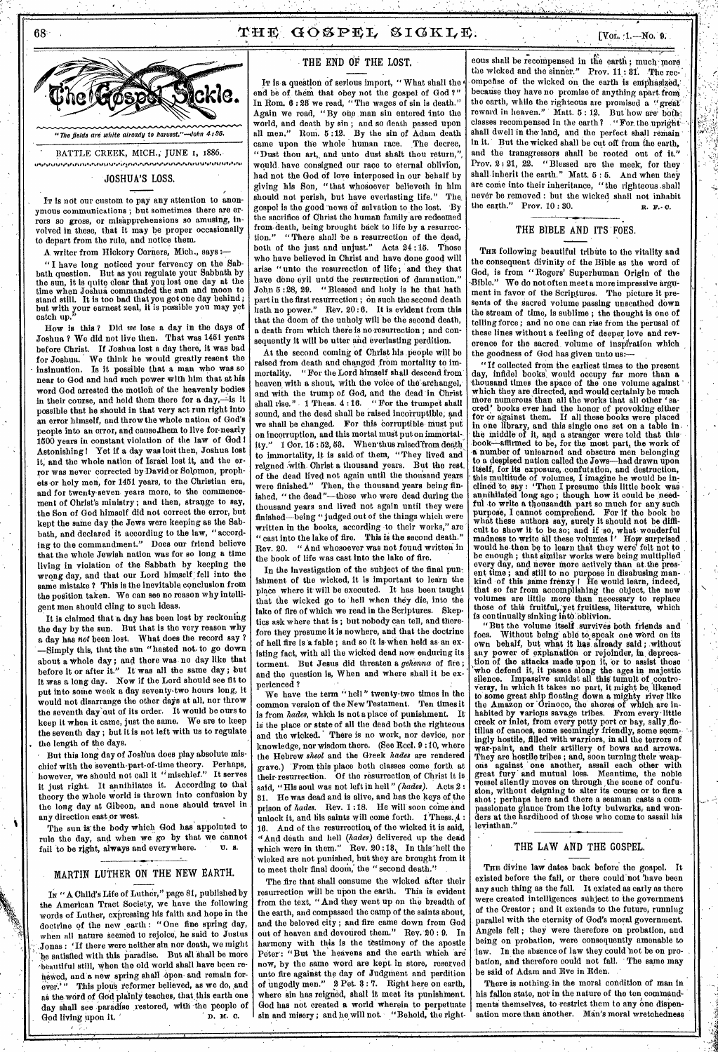



"The fields are white already to haruest."—John 4:86.

BATTLE CREEK, MICH.; JUNE 1, 1886. ,,,,111,,1,,,,,,,1 ,,,,,, *AP.J. ,, , ,,,,,,,,, 0011* **,,,,,,,,,** *,,,,,* **,,,,,** 

JOSHUA'S LOSS.

In is not our custom to pay any attention to anonymous communications ; but sometimes there are errors so gross, or misapprehensions so amusing, involved in these, that it may be proper occasionally to depart from the rule, and notice them.

A writer from Hickory Corners, Mich., says :—

" I have long noticed your fervency on the Sabbath question. But as you regulate your Sabbath by the sun, it is quite clear that you lost one day at the time when Joshua commanded the sun and moon to stand still. It is too bad that you got one day behind ; but with your earnest zeal, it is possible you may yet catch up."

How is this ? Did *we* lose a day in the days of Joshua ? We did not live then. That was 1451 years before Christ. If Joshua lost a day there, it was bad for Joshua. We think he would greatly resent the insinuation. Is it possible that a man who was so near to God and had such power with him that at his word God arrested the motion of the heavenly bodies in their course, and held them there for a day,—is it possible that he should in that very act run right into an error himself, and throw the whole nation of God's people into an error, and cause,them to live for-nearly 1500 years in constant violation of the law of God Astonishing I Yet if a day was lost then, Joshua lost it, and the whole nation of Israel lost it, and the error was never corrected by David or Solomon, prophets or holy men, for 1451 years, to the Christian era, and for twenty-seven years more, to the commencement of Christ's ministry ; and then, strange to say, the Son of God himself did not correct the error, but kept the same day the Jews were keeping as the Sabbath, and declared it according to the law, "according to the commandment." Does our friend believe that the whole Jewish nation was for so long a time living in violation of the Sabbath by keeping the wrong day, and that our Lord himself fell into the same mistake ? This is the inevitable, conclusion from the position taken. We can see no reason why intelligent men should cling to such ideas.

It is claimed that a day has been lost by reckoning the day by the sun. But that is the very reason why a day has *not* been lost. What does the record say ? —Simply this, that the sun "hasted not, to go down about a whole day ; and there was no day like that before it or after it." It was all the same day ; but it was a long day. Now if the Lord should see fit to put into some week a day seventy-two hours long, it would not disarrange the other *days* at all, nor throw the seventh day out of its order. It would be ours to keep it when it came, just the same. We are to keep the seventh day ; but it is not left with us to regulate the length of the days.

But this long day of Joshua does play absolute mischief with the seventh-part-of-time theory. Perhaps, however, we should not call it "mischief." It serves it just right. It annihilates it. According to that theory the whole world is thrown into confusion by the long day at Gibeon, and none should travel in any direction east or west.

The sun is' the body which God has appointed to rule the day, and when we go by that we cannot<br>fail to be right always and everywhere. U. s. fail to be right, always and everywhere.

# MARTIN LUTHER ON THE NEW EARTH.

In " A Child's Life of Luther," page 81, published by the American Tract Society, we have the following words of Luther, expressing his faith and hope in the doctrine of the new earth: "One fine spring day, when all nature seemed to rejoice, he said to Justus Jonas : 'If there were neither sin nor death, we might be satisfied with this paradise. But all shall be more beautiful still, when the old world shall have been rehewed, and a new spring shall open- and remain for-This plous reformer believed, as we do, and as the word of God plainly teaches, that this earth one day shall see paradise restored, with the people of God living upon it God living upon it.

## THE END OF THE LOST.

IT is *a* question of serious import, " What shall the **<sup>4</sup>** end be of them that obey not the gospel of God ?" In Rom. 6 : 28 we read, " The wages of sin is death." Again we read, "By one man sin entered into the world, and death by sin ; and so death passed upon Rom. 5:12. By the sin of Adam death<br>n the whole human race. The decree, came upon the whole human race. "Dust thou art, and unto dust shalt thou return," would have consigned our race to eternal oblivion, had not the God of love interposed in our behalf by giving his Son, "that whosoever believeth in him should not perish, but have everlasting life." gospel is the good news of salvation to the lost. By the sacrifice of Christ the human family are redeemed from death, being brought back to life by a resurrection." " There shall be a resurrection of the dead, both of the just and unjust." Acts 24 :15. Those who have believed in Christ and have done good will arise " unto the resurrection of life ; and they that have done eyil unto the resurrection of damnation." John 5:28, 29. "Blessed and holy is he that hath part in the first resurrection; on such the second death hath no power." Rev. 20:6. It is evident from this Rev.  $20:6.$  It is evident from this that the doom of the unholy will be the second death, a death from which there is no resurrection; and consequently it will be utter and everlasting perdition.

At the second coming of Christ his people will be raised from death and changed from mortality to immortality. "For the Lord himself shall descend from heaven with a shout, with the voice of the archangel, and with the trump of God, and the dead in Christ shall rise." 1 Thess. 4:16. "For the trumpet shall sound, and the dead shall be raised incorruptible, and we shall be changed. For this corruptible must put on incorruption, and this mortal must put on immortality." 1 Cor. 15:52, 53. When'thus raised from death to immortality, it is said of them, "They lived and reigned With Christ a thousand years. But the rest, of the dead lived not again until the thousand years were finished." Then, the thousand years being finished, " the dead "-those who were dead during the thousand years and lived not again until they were finished—being " judged out of the things which were written in the books, according to their works," are " cast into the lake of fire. This is the second death." "And whosoever was not found written in the book of life was cast into the lake of fire.

In the investigation of the subject of the final punishment of the wicked, it is important to learn the place where it will be executed. It has been taught that the wicked go to hell when they die, into the lake of fire of which we read in the Scriptures. Skeptics ask where that is; but nobody can tell, and therefore they presume it is nowhere, and that the doctrine of hell fire is 'a fable ; and so it is when held as- an existing fact, with all the wicked dead now enduring its torment. But Jesus did threaten a *gehenna* of fire ; and the question is, When and where shall it be experienced ?

We have the term "hell" twenty-two times in the common version of the New Testament. Ten times it is from *hades,* which is not a place of punishment. It' is the place or state of all the dead both the righteous and the wicked. There is no work, nor device, nor There is no work, nor device, nor knowledge, nor wisdom there. (See Reel. 9 :10, where the Hebrew *sheol* and the Greek *hades* are rendered grave.) 'From this place both classes come forth at their resurrection. Of the resurrection, of Christ it is said, "His soul was not left in hell " *(hades).* Acts 2 : 31. He was dead and is alive, and has the keys of the prison of *hades.* Rev. 1 :18. He will soon come and unlock it, and his saints will come forth. 1 Thess. 4 16. And of the resurrection of the wicked it is said, "And death and hell *(hades)* delivered up the dead which were in them." Rev. 20:13. In this hell the wicked are not punished, but they are brought from it to meet their final doom; the " second death."

The fire that shall consume the wicked after their resurrection will be upon the earth. This is evident from the text, " And they went up on the breadth of the earth, and compassed the camp of the saints about, and the beloved city ; and fire came down from God out of heaven and devoured them." Rev. 20 : 9. In harmony with this is the testimony of the apostle Peter : "But the heavens and the earth which are now, by the same word are kept in store, reserved unto fire against the day of Judgment and perdition<br>of mgodly men." 2 Pet. 3:7. Right here on earth. 2 Pet. 8 : 7. Right here on earth, where sin has reigned, shall it meet its punishment. God has not created a world wherein to perpetuate sin and misery; and he will not. "Behold, the right-

eous shall be recompensed in the earth; much more the wicked and the sinner." Prov. 11:81. The recthe wicked and the sinner." ompefise of the wicked on the earth is emphasized,' because they have no promise of anything apart from the earth, while the righteous are promised a "great' reward in heaven." Matt.  $5:12.$  But how are both. classes recompensed in the earth? . "For the uprightshall dwell in the land, and the perfect shall remain in it. But the wicked shall be cut off from the earth, and the transgressors shall be rooted out of it." Prov. 2:21, 22. "Blessed are the meek, for they shall inherit the earth." Matt. 5:5. And when they are come into their inheritance, "the righteous shall never be removed : but the wicked shall not inhabit<br>the earth." Prov.  $10:80$ . Prov.  $10 : 30.$  n.  $\mathbf{F} \cdot \mathbf{C}$ .

### THE BIBLE AND ITS FOES.

THE following beautiful tribute to the vitality and the consequent divinity of the Bible as the word of God, is from " Rogers' Superhuman Origin of the Bible." We do not often meet a more impressive argument in favor of the Scriptures. The picture it presents of the sacred volume passing unscathed down the stream of time, is sublime ; the thought is one of telling force ; and no one can rise from the perusal of these lines without a feeling of deeper love and reverence for the sacred volume of inspfration which the goodness of God has given unto us:—

"If collected from the earliest times to the present day, infidel books, would occupy far more than a 'thousand times the space of the one volume against ' which they are directed, and would certainly be much More numerous than all the works that all other 'sacred' books ever had the honor of provoking either for or against them. If all these books were placed in one library, and this single one set on a table in. the middle of it, and a stranger were told that this book-- -affirmed to be, for the most part,, the work of **a** number of unlearned and obscure men belonging to a despised nation called the Jews—had drawn upon itself, for its exposure, confutation, and destruction, this multitude of volumes, I imagine he would be in-clinedto say : 'Then I presume this little book was annihilated long ago; though how it could be needful to write a thousandth part so much for any such purpose, I cannot comprehend. For if the book be what these authors say, surely it should not be difficult to show it to be so; and if so, what wonderful madness to write all these volumes I' How surprised would he then be to learn that they were felt not to be enough ; that similar works were being multiplied every day, and never more actively than at the pros-' ent time ; and still to no purpose in disabusing man-<br>kind of this same frenzy ! He would learn, indeed, that so far from accomplishing the object, the new volumes are little *more* than necessary to replace those of this fruitful, yet fruitless, literature, which is continually sinking into' Oblivion.

"But the volume itself survives both friends and<br>foes. Without being able to speak one word on its Without being able to speak one word on its own behalf, but what it has already said; without any power of explanation or rejoinder, in deprecaany power of explanation or rejoinder, in tion of the attacks made upon it, Or to assist those 'who defend it, it passes along the ages in majestic silence. Impassive amidst all this tumult of controversy, in which it takes no part, it might be. 'likened to some great ship floating down a mighty river like the Amazon or Orinoco, the shores of which are inhabited by various savage tribes. From every little creek or inlet, from every petty port or bay, sally flotillas of canoes, some seemingly friendly, some seemingly hostile, filled with warriors, in all the terrors of war-paint, and their artillery of bows and arrows. They are hostile tribes ; and, soon turning their weap-<br>ons against one another, assail each other with great fury and mutual loss. Meantime, the noble vessel silently moves on through the scene of confusion, without deigning to alter its course or to fire a shot ; perhaps here and there a seaman casts a compassionate glance from the lofty bulwarks, and wonders at the hardihood of those who come to assail his leviathan."

### THE LAW AND THE GOSPEL.

THE divine law dates back before the gospel. It existed before the fall, or there could not have been any such thing as the fall. It existed as early as there were created intelligences subject to the government of the Creator ; and it extends to the future, running parallel with the eternity of God's moral government. Angels fell ; they were therefore on probation, and being on probation, were consequently amenable to law. In the absence of law they could not be on probation, and therefore could not fall. The same may be said of Adam and Eve in Eden.

There is nothing in the moral condition of man in his fallen state, not in the nature of the ten commandments themselves, to restrict them to any one dispensation more than another. Man's moral wretchedness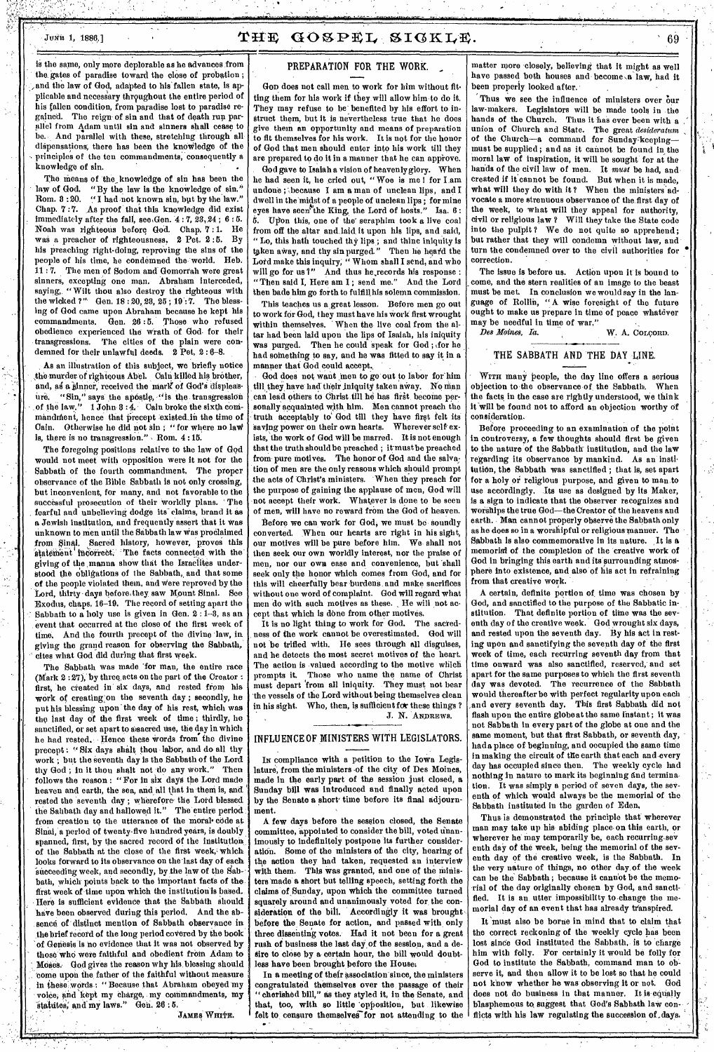# Junia 1, 1886.]  $\mathbf{THE}$   $\mathbf{GOSPEL}$   $\mathbf{SIGKL}$ .  $:$  69

is the same, only more deplorable as he advances from the gates of paradise toward the close of probation ; and the law of God, adapted to his' fallen state, is applicable and necessary throughout the entire period of his fallen condition, from paradise lost to paradise regained. The reign- of sin and that of death run parallel from Adam until sin and sinners shall cease to be. And parallel with these, stretching through all dispensations; there has been the kneviledge of the principles of the ten commandments, consequently a knowledge of sin.

The means of the knowledge of sin has been the law of God. "By the law is the knowledge of sin." law of God. "By the law is the knowledge of sin."<br>Rom. 3:20. "I had not known sin, but by the law." "I had not known sin, but by the law." Chap. 7 :7. As proof that this knowledge did exist immediately after the fall, see,Gen. 4 : 7, 28, 24 ; 6 : 5. Noah was righteous before God. Chap. 7 : 1. He was a preacher of righteousness. 2 Pet. 2:5. his preaching right-doing, reproving the sins of the people of his time, he condemned the-world. Reb. 11 : 7. The men of Sodom and Gomorrah were great sinners, excepting one man. Abraham interceded, saying, "Wilt thou also destroy the righteous with the wicked ?" Gen. 18:20, 23, 25; 19:7. The blessing of God came upon Abraham because he kept his commandments. Gen. 26 :5. Those who refused obedience experienced the wrath of God. for their The cities of the plain were condemned for their unlawful deeds.  $2$  Pet.  $2:6-8$ .

As an illustration of this subject, we briefly notice the murder of righteous Abel. Cain killed his brother, and, as a sinner, received the mark of God's displeas-"Sin," says the apostle, "is the transgression of the law." 1 John 8:4. Cain broke the sixth commandment, hence that precept existed in the time of Cain. Otherwise he did not sin; "for where no law is, there is no transgression."  $\sim$  Rom. 4:15.

The foregoing positions relative to the law of God would not meet with opposition were it not for the Sabbath of the fourth commandment. The proper observance of the Bible Sabbath is not only crossing, but inconvenient, for many, and not favorable to the successful prosecution of their worldly plans. The . fearful and unbelieving dodge its claims, brand it as a Jewish Institution, and frequently assert that it was Unknown to men until the Sabbath law Was proclaimed from Sinal. Sacred history, however, proves this statement incorrect. The facts connected with the The facts connected with the giving of the manna show that the Israelites understood the obligations of the Sabbath, and that some of the people violated them, and Were reproved by the Lord, thirty -days before they saw Mount Sinai. See Exodus, chaps. 16-19. The record of setting apart the Sabbath to a holy use is given in Gen. 2: 1-3, as an event that occurred at the close of the first week of time. And the fourth precept of the divine law, in giving the grand reason for observing the Sabbath, cites what God did during that first week.

The Sabbath was made 'for man, the entire race (Mark 2:27), by three acts on the part of the Creator : first, he created in six days, and rested from his work of creating;on the seventh day ; secondly, he put his blessing upon' the day of his rest, which was the last day of the first week of time ; thirdly, he sanctified, or set apart to assacred use, the day in which he had rested. Hence these words from the divine precept: "Six days shalt thou labor, and do all thy work ; but the seventh day is the Sabbath of the Lord thy God ; in it thou shalt not 'do *any* work." Then follows the reason : " For in six days the Lord made heaven and earth, the sea, and all that in them is, and rested the seventh day; wherefore the Lord blessed the Sahbath day and hallowed it." The entire period from creation to the utterance of the moral• code at Sinai, a period of twenty-five hundred years, is doubly spanned, first, by the sacred record of the institution of the Sabbath at the close of the first week, which looks forward to its observance on the last day of each succeeding week, and secondly, by the law of the Sabbath, which points back to the important facts of the first week of time upon which the institution is based. Here is sufficient evidence that the Sabbath should have been observed during this period. And the absence of distinct mention of Sabbath observance in the brief record of the long period covered by the book 'of Genesis is no evidence that it was not observed by those who were faithful and obedient from Adam to Moses. God gives the reason why his blessing should come upon the father of the faithful without measure in these words : "Because that Abraham obeyed my voice; and kept my charge, my commandments, my statutes, and my laws." Gen. 26:5.

JAMES WHITE.

### PREPARATION FOR THE WORK.

GOD does not call men to work for him without fitting them for his work if they will allow him to do it. They may refuse to be benefited by his effort to instruct them, but it is nevertheless true that he does give them an opportunity and means of preparation to fit themselves for his work. It is not for the honor of God that men should enter into his work till they are prepared to do it in a manner that he can approve.

God gave to Isaiah a vision of heavenly glory. When he had seen it, he cried out, "Woe is me I for I am undone; because I am a man of unclean lips, and I dwell in the midst of a people of unclean lips ; for mine eyes have seen' the King, the Lord of hosts." Isa. 6 : 6. Upon this, one of the-seraphim took a live coal

from off the altar and, laid it upon his lips, and said, " Lo, this bath touched thy lips ; and thine iniquity is taken away, and thy sin purged." Then he heard the Lord make this inquiry; " Whom shall I send, and who will go for us?" And thus he,records his response : "Then said I, Here am I ; send me." And the Lord then bade him go forth to fulfill his solemn commission.

This teaches us a great lesson. Before men go out to work for God, they must have his work first wrought within themselves. ' When the live coal from the altar had been laid upon the lips of Isaiah, his iniquity was purged. Then he could speak for God; for he had something to say, and he was fitted to say it in a manner that God could accept.

God does not want men to go out to labor for him till they have had their iniquity taken away. No man can lead others to Christ till he has first become personally acquainted with him. Men cannot preach the truth acceptably to God till they have first felt its<br>saying power on their own hearts. Wherever self exsaving power on their own hearts. ists, the work of God will be marred. It is not enough that the truth should be preached ; it must be preached from pure motives. The honor of God and the salvation of men are the only reasons which should prompt the acts of Christ's ministers. When they preach for the purpose of gaining the applause of men, God will not accept their work. Whatever is done to be seen of men, will have no reward frOm the God of heaven.

Before we can work for God, we must be soundly converted. When our hearts are right in his sight, our motives will be pure before him. We shall not then seek our own worldly interest, nor the praise of men, nor our own ease and convenience, but shall seek only the honor which comes from God, and for this will cheerfully bear 'burdens and make sacrifices without one word of complaint. God will regard what men do with such motives as these. He will not accept that which is done from other motives.

It is no light thing to work for God. The sacred-<br>ass of the work cannot be overestimated. God will ness of the work cannot be overestimated. not 'be trifled with. He sees through all disguises, and he detects the most secret motives of the heart. The action is valued according to the motive which prompts it. Those who name the name of Christ must depart 'from all iniquity. They must not bear the vessels of the Lord without being themselves clean in his sight. Who, then, is sufficient for these things ? J. N. ANDREWS.

### INFLUENCE OF MINISTERS WITH LEGISLATORS.

Ix compliance with a petition to the Iowa Legislature, from the ministers -of the city of Des Moines, made in the early part of the session just closed, a Sunday bill was introduced and finally acted upon by the Senate a short' time before its final adjournment.

A few days before the session closed, the Senate committee, appointed to consider the bill, voted unanimously to indefinitely postpone its further consideration. Some of the ministers of the city, hearing of the action they had taken, requested an interview with them. This was granted, and one of the minis-This was granted, and one of the ministers made a short but telling speech, setting forth the claims of'Sunday, upon which the committee turned squarely around and unanimously voted for the consideration of the bill. Accordingly it was brought before the Senate for action, and passed with only three dissenting votes. Had it not been for a great rush of business the last day of the session, and a desire to close by a certain hour, the bill would doubtless have been brought before the Rouse:

In a meeting of their association since, the ministers congratulated themselves over the passage of their cherished bill," as they styled it, in the Senate, and that, too, with so little 'opposition, but likewise felt to censure themselves for not attending to the  $\bullet$  to a set  $\mathbb{R}^n$ 

matter more closely, believing that it might as well have passed both houses and become a law, had it been properly looked after.

Thus we see the influence of ministers over our law-makers. Legislators will be made tools in the Thus it has ever been with a union of Church and State. The great *desideratum* of the Church-a command for Sunday<sup>-keeping-</sup> must be supplied; and as it cannot be found in the moral law of inspiration, it will be sought for at the hands of the civil law of men. It *must* be had, andcreated if it cannot be found. But when it is made, what will they do with it? When the ministers advocate a more strenuous observance of the first day of the week, to what will they appeal for authority, civil or religious law ? Will they take the State code into the pulpit? We do not quite so apprehend; but rather that they will condemn without law, and turn the condemned over to the civil authorities for correction. .

The issue is before us. Action upon it is bound to come, and the stern realities of an image to the beast must be met. In conclusion we would say in the language of Rollin, "A wise foresight of the future ought to make us prepare in time of peace whatever may be needful in time of war."

Des Moines, Ia. **W. A. COLCORD.** 

### THE SABBATH AND THE DAY LINE.

WITH many people, the day line offers a serious viection to the observance of the Sabbath. When objection to the observance of the Sabbath. the facts in the case are rightly understood, we think it will be found not to afford an objection worthy of consideration.

Before proceeding to an examination of the point in controversy, a few thoughts should first be given to the nature of the Sabbath institution, and the law regarding its observance by mankind. As an insti• tution, the Sabbath was sanctified; that is, set apart for a holy or religious purpose, and given to man to use accordingly. Its use as designed by its Maker, is a sign to indicate that the observer recognizes and worships the true God—the Creator of the heavens and earth. Man cannot properly observe the Sabbath only as he does so in a worshipful or religious manner. The Sabbath is also commemorative in its nature. It is a memorial of the completion of the creative work of God in bringing this earth and its surrounding atmosphere into existence, and also of his act in refraining from that creative work.

A certain, definite portion of time was chosen by God, and sanctified to the purpose of the Sabbatic institution. That definite portion of time was the seventh day of the creative week. God wrought six days, and rested upon the seventh day. By his act in resting upon and sanctifying the seventh day of the first week of time, each recurring seventh day from that time onward was also sanctified, reserved, and set apart for the same purposes to which the first seventh day was devoted. The recurrence of the Sabbath would thereafter be with perfect regularity upon each and every seventh day. This first Sabbath did not flash upon the entire globe at the same instant ; it was not Sabbath in every part of the globe at one and the same moment, but that first Sabbath, or seventh day, hada place of beginning, and occupied the same time in making the circuit of the earth that each and every day has occupied since then. The weekly cycle had nothing in nature to mark its beginning find termina-It was simply a period of seven days, the seventh of which would always be the memorial of the Sabbath instituted in the garden of Eden,

Thus is demonstrated the principle that wherever man may take up his abiding place- on this earth, or wherever he' may temporarily be, each recurring sev enth day of the week, being the memorial of the seventh day of the creative week, is the Sabbath. In the very nature of things, no other day, of the week can be the Sabbath ; because it cannot be the memorial of the day originally chosen by God, and sanctified. It is an utter impossibility to change the memorial day of an event that has already transpired.

It must also be borne in mind that to claim that the correct reckoning of the weekly cycle has been lost since God instituted the Sabbath, is to charge him with folly. For certainly it would be folly for God to institute the Sabbath, command man to observe it, and then allow it to be lost so that he could not know whether he was observing it or not. God does not do business in that manner. It is equally blasphemous to suggest that God's Sabbath law conflicts with his law regulating the succession of, days.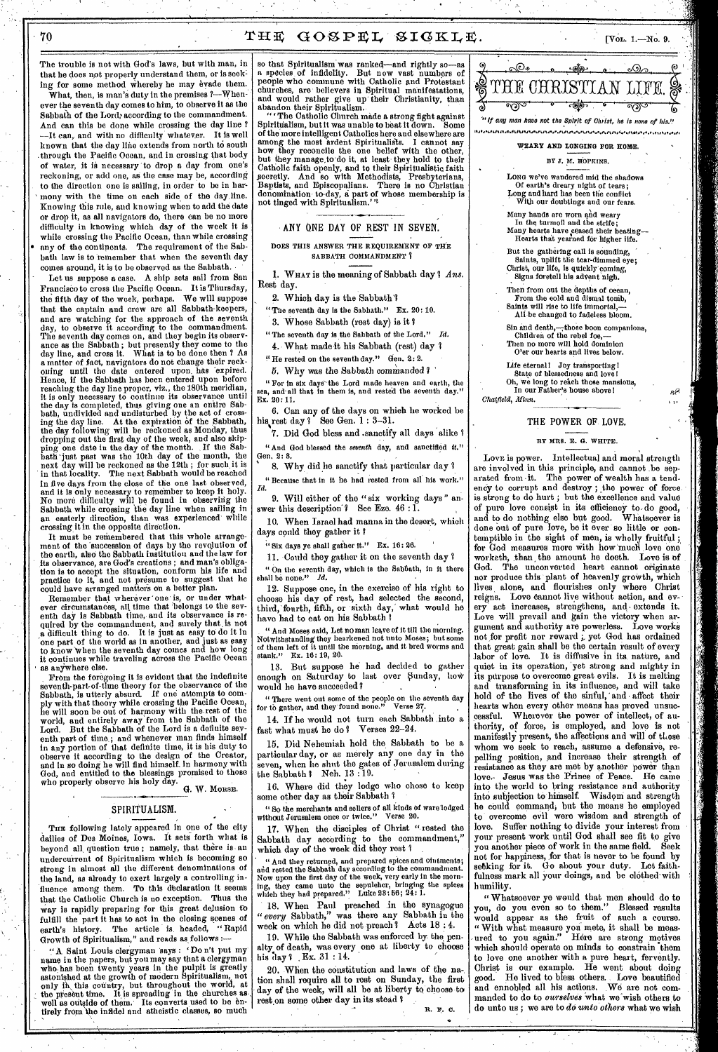The trouble is not with God's laws, but with man, in that he does not properly understand them, or is seeking for some method whereby he may evade them.

What, then, is man's duty in the premises  $?$ —Whenever the seventh day comes to him, to observe it as the Sabbath of the Lord; according to the commandment. And can this be done while crossing the day line ? --It can, and with no difficulty whatever. It is well known that the day line extends from north to south .through the Pacific Ocean, and in crossing that body of water, it is necessary to drop a day from one's reckoning, or add one, as the case may be, according to the direction one is sailing, in order to be in harmony with the time on each side of the day line. Knowing this rule, and knowing when to add the date or drop it, as all navigators do, there can be no more difficulty in knowing which day of the week it is while crossing the Pacific Ocean, than while crossing • any of the continents. The requirement of the Sabbath law is to remember that when the seventh day comes around, it is to be observed as the Sabbath.

Let us suppose a case. A ship sets sail from San Francisco to cross the Pacific Ocean. It is Thursday, the fifth day of the week, perhaps. We will suppose that the captain and crow are all Sabbath-keepers, and are watching for the approach of the seventh day, to observe it according to the commandment. The seventh day comes on, and they begin its observance as the Sabbath ; but presently they come to the day line, and cross it. What is to be done then ? As a matter of fact, navigators do not change their reck oning until the date entered upon, has 'expired. Hence, if the Sabbath has been entered upon before reaching, the day line proper, viz., the 180th meridian, it is only necessary to continue its observance until the day is completed, thus giving one an entire Sabbath, undivided and undisturbed by the act of crossing the day lino. At the expiration of the Sabbath, the day following will be reckoned as Monday, thus dropping out the first day of the week, and also skipping one date in the day of the month. If the Sabbath 'just past was the 10th day of the month, the next day will be reckoned as the 12th ; for such, it is in that locality. The next Sabbath would be reached in five *days* from the close of the one last observed, and it is only necessary to remember to keep it holy. No more difficulty will be found in observing the Sabbath while crossing the day line when sailing in an easterly direction, than was experienced while crossing it in the opposite direction.

It must be remembered that this whole arrangement of the 'succession of days by the revolution of the earth, also the Sabbath institution and the law for its observance, are God's creations ; and man's obliga-tion is to accept the situation, conform his life and practice to it, and not presume to suggest that he could have arranged matters on a better plan.

Remember that wherever one is, or under whatever circumstances, all time that belongs to the seventh day is Sabbath time, and its observance is required by the commandment, and surely that is not a difficult thing to do. It is just as easy to do it in one part of the world as in another, and just as easy to know 'When the seventh day comes and how long it continues while traveling across the Pacific Ocean as anywhere else.

From the foregoing it is evident that the indefinite seventh-part-of-time theory for the observance of the Sabbath, is utterly absurd. If one attempts to comply with that theory while crossing the Pacific Ocean, he will soon be out of harmony with the rest of the world, and entirely away from the Sabbath of the Lord. But the Sabbath of the Lord is a definite seventh part of time.; and whenever man finds himself in any portion of that definite time, it is his duty to observe it according to the design of the Creator, and in so doing he will find himself\_ in harmony with God, and entitled to the blessings promised to those who properly observe his holy day.

G. W. MORSE,

## SPIRITUALISM.

Tun following lately appeared in one of the city dailies of Des Moines, Iowa. It sets forth what is beyond all question true; namely, that there is an undercuirent of Spiritualism which is becoming so strong in almost all the different denominations of the land, as already to exert largely a controlling influence among them. To this declaration it seems that the Catholic Church is no exception. Thus the way is rapidly preparing for this great delusion co fulfill the part it has to act in the closing scenes of earth's history. The article is headed, " Rapid Growth of Spiritualism," and reads as follows :-

" A Saint Louis clergyman says : Do n't put my' name in the papers, but you may say that a clergyman who has been twenty years in the pulpit is greatly astonished at the growth of modern Spiritualism, not only in this country, but throughout the world, at the present time. It is spreading in the churches as.<br>well as outside of them. Its converts used to be entirely from the infidel and atheistic classes, so much

so that Spiritualism was ranked-and rightly so-as a species of infidelity. But now vast numbers of people who commune with Catholic and Protestant churches, are believers in Spiritual manifestations, and would rather give up their Christianity, than abandon their Spiritualism..

" ' The Catholic Church made a strong fight against Spiritualism, but it was unable to beat it down. Some of the more intelligent Catholics here and elsewhere are among the most ardent Spiritualists. I cannot say how they reconcile the one belief with the other, but they manage,to do it, at least• they hold to their Catholic faith openly, and to their Spiritualistic faith secretly. And so with Methodists, Presbyterians, Baptists, and Episcopalians. There is no Christian denomination to-day, a part of whose membership is not tinged with Spiritualism."'

ANY ONE DAY OF REST IN SEVEN.

DOES THIS ANSWER THE REQUIREMENT OF THE SABBATH COMMANDMENT ?

1. WHAT is the meaning of Sabbath day 3 *Ans.*  Rest day.

2. Which day is the Sabbath'?

"The seventh day is the Sabbath." Ex. 20: 10.

3. Whose Sabbath (rest day) is it 7

"The seventh day is the Sabbath of the Lord." *Id.*  4. What made it his Sabbath (rest) day ?

 $\mu$  He rested on the seventh day." Gen. 2: 2.

5. Why was the Sabbath commanded '

" For in six days`the Lord made heaven and earth, the sea, and-all that in them is, and rested the seventh day." Ex. 20:11.

6. Can any of the days on which he worked be his rest day? See Gen. 1 : 3-31.

7. Did God bless and .sanctify all days 'alike <sup>7</sup> "And God blessed the *seventh* day, and sanctified it." Gen. 2: 8

8. Why did he sanctify that particular day 7 " Because that in it he had rested from all' his work."

9. Will either of the " six working days " answer this description'? See Eze.  $46:1$ .

10. When Israel had manna in the desert, which

days could they gather it ?

"Six days ye shall gather it." Ex. 16: 26.

11. Could they gather it on the seventh day 7

" On the seventh day, which is the Sabfiath, in it there shall be none." *Id.* 

12. Suppose one, in the exercise of his right to choose his day of rest, had selected the second, third, fourth, fifth, or sixth day, what would he have had to eat on his Sabbath

" And Moses said, Let no man leave of it till the morning. Notwithstanding they hearkened not unto Moses; but some of them left of it until the morning, and it bred worms and stank." Ex. 16: 19, 20.

13. But suppose he had decided to gather enough on Saturday to last over Sunday, how would he have succeeded ?

" There went out some of the people on the seventh day for to gather, and they'found none." Verse 27.

14. If he would not turn each Sabbath into a fast what must he do ? Verses 22-24.

15. Did Nehemiah hold the, Sabbath to be a particular day, or as merely any one day in the seven, when he shut the gates of Jerusalem during the Sabbath ? Neh.  $13:19.$ 

16. Where did they lodge who chose to keep some other day as their Sabbath '1

" So the merchants and sellers of all kinds of ware-lodged without Jerusalem once or twice." Verse 20.

17. When the disciples of Christ "rested the Sabbath day according to the commandment," which day of the week did they rest ?

" And they returned, and prepared spices and ointments; and rested the Sabbath day according to the commandment. Now upon the first day of the week, very early in the morn-ing, they came unto the sepulcher, bringing the spices which they had prepared." Luke 23: 56; 24: 1.

18. When Paul preached in the synagogue *" every* Sabbath," was there any Sabbath in the week on which he did not preach? Acts 18:4.

19. While the Sabbath was enforced by the penalty of death, was every one at liberty to choose his day I , Ex. 31 : 14.

20. When the constitution and laws of the na-. tion shall require all to rest on Sunday, the first day of the week, will all be at liberty to choose to rest on some other day in its stead? R. F. 0,



**WEARY AND LONGING FOR HOME.** 

### BY J. M. HOPKINS.

LONG we've wandered mid the shadows Of earth's dreary night of tears; Long and hard has been the conflict With our doubtings and our fears.

Many hands are worn and weary In the turmoil and the strife; Many hearts have ceased their beating—<br>Hearts that yearned for higher life.

But the gathering call is sounding, Saints, Uplift tile tear-dimmed eye; Christ, our life, is quickly coming,

Signs foretell his advent nigh. Then from out the depths of ocean,

From the cold and dismal tomb,<br>Saints will rise to life immortal,-All be changed to fadeless bloom.

Sin and death,-those boon companions, Children of the rebel foe Then no more will hold dominion

O'er our hearts and lives below. Life eternal! Joy transporting!

State of blessedness and love I Oh, we long to reach those mansions, In our Father's house above! ' *Chatfield, llfinn.* 

### THE POWER OF. LOVE.

1 I.

جيم

### BY MRS. **E.** *G.* WHITE.

LovE is power. Intellectual and moral strength are involved in this principle, and cannot .be separated from -it. The power of wealth has a tendency to corrupt and destroy; the power of force. is strong to do hurt ; but the excellence and value of pure love consist in its efficiency to-do good, and to do nothing else but good. Whatsoever is done out of pure love, be it ever so little or contemptible in the sight of men, is wholly fruitful; for God measures more with how much love one worketh, than the amount he doeth. Love is of God. The unconverted heart cannot originate nor produce this plant of heavenly growth, which lives, alone, and flourishes only where Christ reigns. Love cannot live without action, and every act increases, strengthens, and extends it. Love will prevail and gain the victory when ar-<br>gument and authority are nowerless. Love works gument and authority are powerless. not for profit nor reward ; yet God has ordained that great gain shall be the certain result of every labor of love. It is diffusive in its nature, and quiet in its operation, yet strong and mighty in its purpose to overcome great evils. It is melting and transforming in its influence, and will take hold of the lives of the sinful, and affect their hearts when every other means has proved unsuccessful. Wherever the power of intellect, of authority, of force, is employed, and love is not manifestly present, the affections and will of those whom we seek to reach, assume a defensive, repelling position, and increase their strength of resistance as they are met by another power than love. Jesus was the Prince of Peace. He came into the world to bring resistance and authority into subjection to himself. Wisdom and strength he could command; but the means he employed . to overcome evil were wisdom and strength of love. Suffer nothing to divide your interest from your present work until God shall see fit to give you another piece of work in the same field. Seek not for happiness, for that is never to be found by<br>seaking for it. Go about your duty. Let faithseeking for it. Go about your duty. success mark all your doings, and be elothed with<br>humility.

" Whatsoever ye would that men should do to you, do you even so to them." Blessed results would appear as the fruit of such a course. " With what measure you mete, it shall be measured to you again." Here are strong motives which should operate on minds to constrain them to love one another with a pure heart, fervently. Christ is our example. He went about doing good. He lived to bless others.. Love beautified and ennobled all his actions, We are not commanded to do to *ourselves* what we wish others to do unto us ; we are to *do unto others* what we wish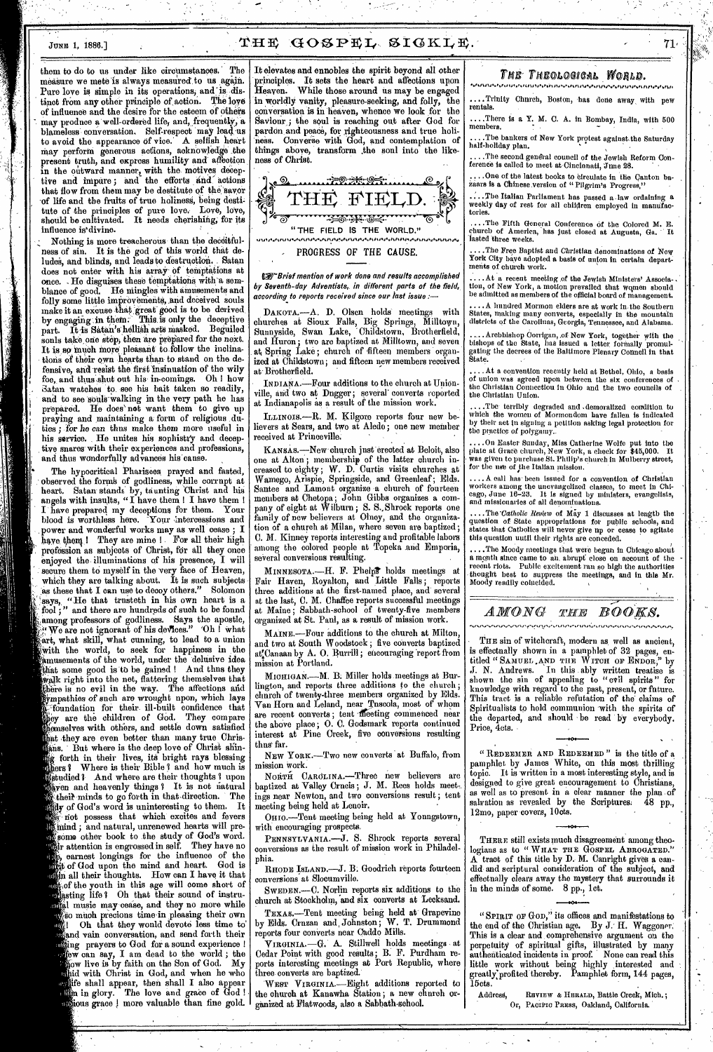# THE GOSPEL SIGKLE.

them to do to us under like circumstances. The measure we mete is always measured to us again. Pure love is simple in its operations, and is distinct from any other principle of action. The love of influence and the desire for the esteem of others may produce a well-ordered life, and, frequently, a blameless conversation. Self-respect may lead us to avoid the appearance of vice. A selfish heart may perform generous actions, acknowledge the present truth, and express humility and affection in the outward manner, with the motives deceptive and impure; and the efforts and actions that flow from them may be destitute of the savor of life and the fruits of true holiness, being destitute of the principles of pure love. Love, love, should be cultivated. It needs cherishing; for its influence is`divine.

Nothing is more treacherous than the deceitfulness of sin. It is the god of this world that deludes, and blinds, and leads to destruction. . Satan does not enter with his array Of temptations at once. He disguises these temptations with a semblance of good. He mingles with amusements and folly some little improvements, and deceived souls make it an excuse that great good is to be derived by engaging in them. This is only the deceptive part. It is Satan's hellish arts masked. Beguiled sonls take one step, then are prepared for the next. It is so much more pleasant to follow the inclinations of their own hearts than to stand on the defensive, and resist the first 'insinuation of the wily foe, and thus shut out his in-comings. Oh ! how Satan watches to see his bait taken so readily, and to see souls walking in the very path he has prepared. He does' net want them to give up praying and maintaining a form of religious duties ; for he *can* thus make them more useful in his service. He unites his sophistry and deceptive snares with their experiences and professions, and thus wonderfully advances his canse.

The hypocritical Pharisees prayed and fasted, observed the formh of godliness, while corrupt at heart. Satan stands by, taunting Christ and his angels with insults, "I have them I I have them ! I have prepared my deceptions for them. Your blood is worthless here. Your intercessions and power and wonderful works may as well cease; I have them ! They are mine ! For all their high profession as subjects of Christ, for all they once enjoyed the illuminations of his presence, I will secure them to myself in the very face of Heaven, which they are talking about. It is such subjects as these that I can use to decoy others." Solomon "He that trusteth in his own heart is a says, "He that trusteth in his own heart is a fool;" and there are hundreds of such to be found among professors of godliness. Says the apostle,  $\mathcal{C}^{\alpha}_{\mathcal{C}}$  We are not ignorant of his devices." Oh I what ;art, what skill, what cunning, to lead to a union With the world, to seek for happiness in the amusements of the world, under the delusive idea that some good is tb be gained ! And thus they walk right into the net, flattering themselves that there is no evil in the way. The affections and ympathies of such are wrought upon, which lays -foundation for their ill-built confidence that ey are the children of God. They compare emselves with others, and settle down satisfied hat they are even better than many true Chris-<br>lans. But where is the deep love of Christ shinns. But where is the deep love of Christ shing forth in their lives, ite bright rays blessing rs ? Where is their Bible ? and how much is **There** is the strong based in the mass is bayen and heavenly things ? It is not natural their minds to go forth in that direction. The  $\mathbf{M}$ dy of God's word is uninteresting to them. It not possess that which excites and fevers Mind ; and natural, unrenewed hearts will presome other book to the study of God's word. ir attention is engrossed in self. They have no earnest longings for the influence of the t of God upon the mind and heart. God is tisin all their thoughts. How can I have it that for the youth in this age will come short of sting life 1 Oh that their sound of instruusted music may cease, and they no more while so much precions time in pleasing their own Oh that they would devote less time to' and vain conversation, and send forth their ing prayers to God for a sound experience ! tow can say, I am dead to the world ; the<br>Kaw live is by faith on the Son of God. My ow live is by faith on the Son of God. id with Christ in God, and when he who ife shall appear, then shall I also appear  $\lim_{\epsilon\to 0}$  in glory. The love and grace of  $\rm{God}$  ! ortious grace ! more valuable than fine gold.

It elevates and ennobles the spirit beyond all other principles. It sets the heart and affections upon Heaven. While those around us may be engaged in worldly vanity, pleasure-seeking, and folly, the conversation is in heaven, whence we look for the Saviour; the soul is reaching out after God for pardon and peace, for righteousness and true holiness. Converse with God, and contemplation of things above, transform .the soul into the likeness of *Christ.* 



**N<sub>85</sub>** Brief mention of work done and results accomplished by Seventh-day Adventists,, in different parts of the field, according to reports received since our last issue :—

DAKOTA.—A. D. Olsen holds meetings with churches at Sioux Falls, Big Springs, Milltown, Sunnyside, Swan Lake, "Childstown, Brotherfield, and Huron; two are baptized at Milltown, and seven at Spring Lake; church of fifteen members organized at Childstown; and fifteen new members received at- Brotherfield.

INDIANA.—Four additions to the church at Unionville, and two at Dngger; several converts reported at Indianapolis as a result of the mission work.

ILLINOIS.---R. M. Kilgore reports four new believers at Sears, and two at Aledo ; one new member received at Princeville.

KANSAS.—New church just erected at Beloit, also one at Alton ; membership of the latter church increased to eighty; W. D. Curtis visits churches at' Wamego, Arispie, Springside, and Greenleaf; Elds. Santee and Lamont organize a church of fourteen members at Chetopa; John Gibbs organizes a company of eight at Wilburn; S. S.,Shrock reports one family of new believers at Olney, and the organization of a church at Milan, where seven are baptized ; C. M. Kinney reports interesting and profitable labors among the colored people at Topeka .and Emporia, several conversions resulting.

MINNESOTA.—H. F. Phelpt holds meetings at Fair Haven, Royalton, and Little Falls ; reports three additions at the first-named place, and' several at the last, C. M. Chaffee reports successful meetings at Maine ; Sabbath-school of twenty-five *members*  organized at St. Paul, as a result of mission work.

MAINE.—Four additions to the church at Milton, and two at South Woodstock ; five converts baptized at:Canaan by A. 0. Burrill ; encouraging 'report from mission at Portland.

MICHIGAN.-M. B. Miller holds meetings at Burlington, and reports three additions to the church; church of twenty-three members organized by Elds. Van Horn and Leland, near Tuscola, most of whom are recent converts; tent meeting commenced near the above place; 0. C. Godsmark reports continued interest at Pine Creek, five conversions resulting thns' far.

NEW YORK.—Two new converts at Buffalo, from mission work.

NORTH CAROLINA.-Three new believers are baptized at Valley Crncis; J. M. Rees holds meetings near Newton, and two conversions result; tent meeting being held at Lenoir.

OHIO.—Tent meeting being held at Youngstown, with encouraging prospects,

PENNSYLVANIA.-J. S. Shrock reports several conversions as the result of mission work in Philadelphia.

RHODE ISLAND.—J. B. Goodrich reports fourteen conversions at Slocumville.

SWEDEN.—C. Norlin reports six additions to the church at Stockholm, and six converts at Lecksand.

TEXAS.—Tent meeting being held at' Grapevine by Elds. Cruzan and, Johnston; W. T. Drummond reports four converts near Caddo Mills.

VIRGINIA.—G. A. Stillwell holds meetings at Cedar Point with good results; B. F. Purdham reports interesting meetings at Port Republic, where three converts are baptized.'

WEST VIRGINIA.—Eight additions reported to the church at Kanawha Station ; a new church organized at Flatwoods, also a Sabbath-school.

# THE<sup>THEOLOGICAL WORLD.</sup>

rentals. ..Trinity Chnrch, Boston, has done away with pew

....There is a Y. M. C. A. in Bombay, India, with 500 members.

.The bankers of New York protest against the Saturday half-holiday plan.

..The second general council of the Jewish Reform Conference is called to meet at Cincinnati,  $\text{J} \text{m} \text{e}$  28.  $\hfill \Box$ 

... One of the latest books to circulate in the Canton bazaars is a Chinese version of "Pilgrim's Progress,"

:..The Italian Parliament has passed a .law ordaining a weekly day of rest for all children employed in manufactories.

....The Fifth General Conference of the Colored M. E. church of America, has Just closed at Augusta, Ga. It lasted 'three weeks.

..The Free Baptist and Christian denominations of New York City have adopted a basis of union in certain departments of church work.

At a recent meeting of the Jewish Ministers' Association, of New York, a motion prevailed that wqmen should be admitted as members of the official board of management.

. A hundred Mormon elders are at work in the Southern States, making many converts, especially in the mountain districts of the Carolinas, Georgia, Tennessee, and Alabama.

..... Archbishop Corrigan, .of New York, together with the bishops of the State, bas issued a letter forinally promulgating the decrees of the Baltimore Plenary Council in that State.

...At a convention recently held at Bethel, Ohio, a basis of union was agreed upon between the six conferences of the Christian Connection in Ohio and the two councils of the Christian Union.

....The terribly degraded and .demoralized condition to which the women of Mormondom have fallen is indicated by their act in signing a petition asking legal protection for the practice of polygamy..

....On Easter Sunday, Miss Catherine Wolfe put into the plate at Grace church, New York, a check for \$45,000. It was given to purchase St. Philip's church in Mulberry street, for the use of the Italian mission.

....A call has' been issued for a convention of Christian workers among the unevangelized classes, to meet in Chi-cago, June 16-23. It is signed by ministers, evangelists, and missionaries of all denominations.

*....The-Catholic Review* of May 1 discusses at length the question of State appropriations for public schools, and states that Catholics will never give up or cease to agitate this question until their rights are conceded.

....The Moody meetings that were begun in Chicago about a month since came to au, abrupt close on account of the recent riots. Public excitement ran so high the authorities thought best to suppress the meetings, and in this Mr. Moody readily coincided.

### $AMONG$  *The BOOKS.*

THE sin of witchcraft, modern as, well as ancient, is effectually shown in a pamphlet of 32 pages, entitled 4 4SAMUEL ,AND THE WITCH OF ENDOR," by J. N. Andrews. In this ably written treatise is shown the sin of appealing to " evil spirits " for knowledge with regard to the past, present, or future. This tract is a reliable refutation of' the claims of Spiritualists to hold communion with the spirits of the departed, and should be read by everybody. Price, 4cts.

" REDEEMER AND REDEEMED " is the title of a pamphlet by James White, on this most thrilling topic. It is written in a most interesting style, and is designed to give great encouragement to Christians, as well as to present in a clear manner the plan of salvation as revealed by the Scriptures. 48 pp., salvation as revealed by the Scriptures. 48 pp., 12mo, paper covers, 10cts.

THERE still exists much disagreement among theologians as to "WHAT THE GOSPEL ABROGATED." tract of this title by D. M. Canright gives a candid and scriptural consideration of the subject, and effectually clears away the mystery that surrounds it in the minds of some. 8 pp., 1ct.

"SPIRIT OF GOD," its offices and manifestations to the end of the Christian age. By J. H. Waggoner. This is a clear and comprehensive argument on the perpetuity of spiritual gifts, illustrated by many authenticated incidents in proof. None can read this little work without being highly interested and greatly:profited thereby. Pamphlet form, 144 pages,  $15$ cts.

Addresa, REVIEW a HERALD, Battle Creek, Mich.; Or, Pacific Press, Oakland, California.